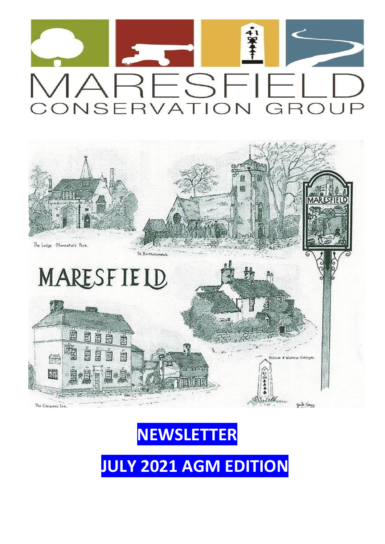





**JULY 2021 AGM EDITION**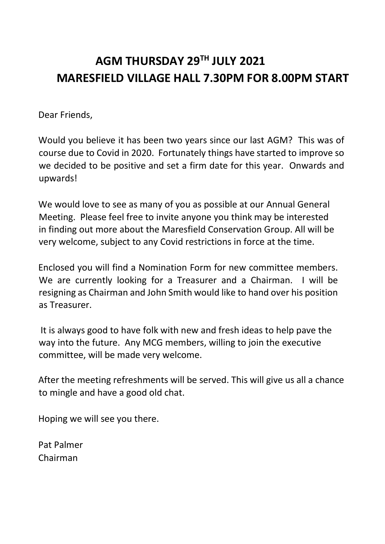## **AGM THURSDAY 29TH JULY 2021 MARESFIELD VILLAGE HALL 7.30PM FOR 8.00PM START**

Dear Friends,

Would you believe it has been two years since our last AGM? This was of course due to Covid in 2020. Fortunately things have started to improve so we decided to be positive and set a firm date for this year. Onwards and upwards!

We would love to see as many of you as possible at our Annual General Meeting. Please feel free to invite anyone you think may be interested in finding out more about the Maresfield Conservation Group. All will be very welcome, subject to any Covid restrictions in force at the time.

Enclosed you will find a Nomination Form for new committee members. We are currently looking for a Treasurer and a Chairman. I will be resigning as Chairman and John Smith would like to hand over his position as Treasurer.

It is always good to have folk with new and fresh ideas to help pave the way into the future. Any MCG members, willing to join the executive committee, will be made very welcome.

After the meeting refreshments will be served. This will give us all a chance to mingle and have a good old chat.

Hoping we will see you there.

Pat Palmer Chairman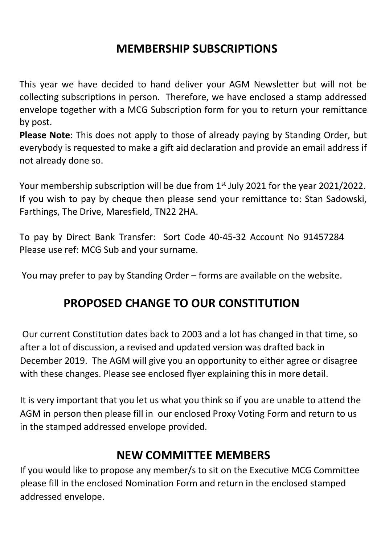## **MEMBERSHIP SUBSCRIPTIONS**

This year we have decided to hand deliver your AGM Newsletter but will not be collecting subscriptions in person. Therefore, we have enclosed a stamp addressed envelope together with a MCG Subscription form for you to return your remittance by post.

**Please Note**: This does not apply to those of already paying by Standing Order, but everybody is requested to make a gift aid declaration and provide an email address if not already done so.

Your membership subscription will be due from  $1<sup>st</sup>$  July 2021 for the year 2021/2022. If you wish to pay by cheque then please send your remittance to: Stan Sadowski, Farthings, The Drive, Maresfield, TN22 2HA.

To pay by Direct Bank Transfer: Sort Code 40-45-32 Account No 91457284 Please use ref: MCG Sub and your surname.

You may prefer to pay by Standing Order – forms are available on the website.

## **PROPOSED CHANGE TO OUR CONSTITUTION**

Our current Constitution dates back to 2003 and a lot has changed in that time, so after a lot of discussion, a revised and updated version was drafted back in December 2019. The AGM will give you an opportunity to either agree or disagree with these changes. Please see enclosed flyer explaining this in more detail.

It is very important that you let us what you think so if you are unable to attend the AGM in person then please fill in our enclosed Proxy Voting Form and return to us in the stamped addressed envelope provided.

### **NEW COMMITTEE MEMBERS**

If you would like to propose any member/s to sit on the Executive MCG Committee please fill in the enclosed Nomination Form and return in the enclosed stamped addressed envelope.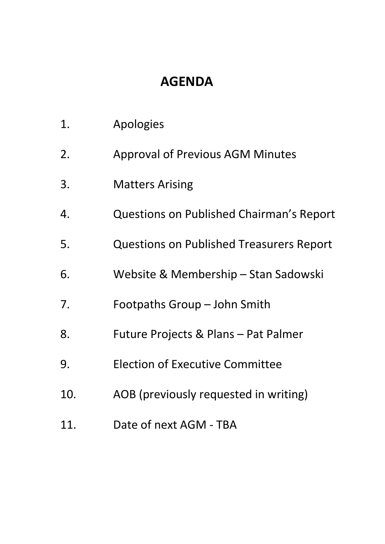# **AGENDA**

| 1.  | Apologies                                       |
|-----|-------------------------------------------------|
| 2.  | <b>Approval of Previous AGM Minutes</b>         |
| 3.  | <b>Matters Arising</b>                          |
| 4.  | Questions on Published Chairman's Report        |
| 5.  | <b>Questions on Published Treasurers Report</b> |
| 6.  | Website & Membership - Stan Sadowski            |
| 7.  | Footpaths Group - John Smith                    |
| 8.  | Future Projects & Plans - Pat Palmer            |
| 9.  | <b>Election of Executive Committee</b>          |
| 10. | AOB (previously requested in writing)           |
| 11. | Date of next AGM - TBA                          |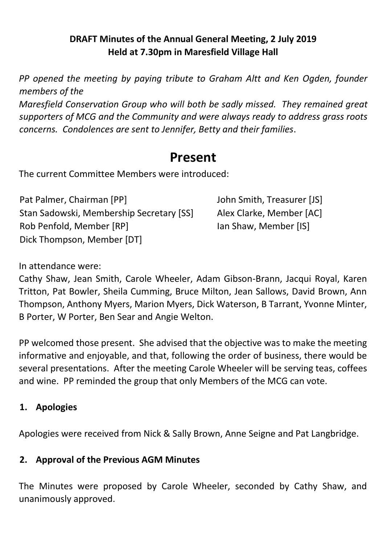#### **DRAFT Minutes of the Annual General Meeting, 2 July 2019 Held at 7.30pm in Maresfield Village Hall**

*PP opened the meeting by paying tribute to Graham Altt and Ken Ogden, founder members of the* 

*Maresfield Conservation Group who will both be sadly missed. They remained great supporters of MCG and the Community and were always ready to address grass roots concerns. Condolences are sent to Jennifer, Betty and their families*.

## **Present**

The current Committee Members were introduced:

Pat Palmer, Chairman [PP] John Smith, Treasurer [JS] Stan Sadowski, Membership Secretary [SS] Alex Clarke, Member [AC] Rob Penfold, Member [RP] Dick Thompson, Member [DT]

Ian Shaw, Member [IS]

In attendance were:

Cathy Shaw, Jean Smith, Carole Wheeler, Adam Gibson-Brann, Jacqui Royal, Karen Tritton, Pat Bowler, Sheila Cumming, Bruce Milton, Jean Sallows, David Brown, Ann Thompson, Anthony Myers, Marion Myers, Dick Waterson, B Tarrant, Yvonne Minter, B Porter, W Porter, Ben Sear and Angie Welton.

PP welcomed those present. She advised that the objective was to make the meeting informative and enjoyable, and that, following the order of business, there would be several presentations. After the meeting Carole Wheeler will be serving teas, coffees and wine. PP reminded the group that only Members of the MCG can vote.

#### **1. Apologies**

Apologies were received from Nick & Sally Brown, Anne Seigne and Pat Langbridge.

#### **2. Approval of the Previous AGM Minutes**

The Minutes were proposed by Carole Wheeler, seconded by Cathy Shaw, and unanimously approved.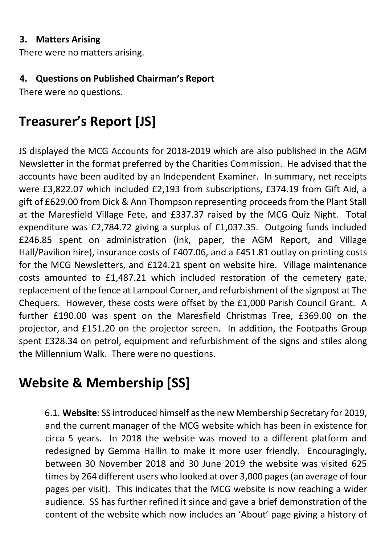#### **3. Matters Arising**

There were no matters arising.

#### **4. Questions on Published Chairman's Report**

There were no questions.

# **Treasurer's Report [JS]**

JS displayed the MCG Accounts for 2018-2019 which are also published in the AGM Newsletter in the format preferred by the Charities Commission. He advised that the accounts have been audited by an Independent Examiner. In summary, net receipts were £3,822.07 which included £2,193 from subscriptions, £374.19 from Gift Aid, a gift of £629.00 from Dick & Ann Thompson representing proceeds from the Plant Stall at the Maresfield Village Fete, and £337.37 raised by the MCG Quiz Night. Total expenditure was £2,784.72 giving a surplus of £1,037.35. Outgoing funds included £246.85 spent on administration (ink, paper, the AGM Report, and Village Hall/Pavilion hire), insurance costs of £407.06, and a £451.81 outlay on printing costs for the MCG Newsletters, and £124.21 spent on website hire. Village maintenance costs amounted to £1,487.21 which included restoration of the cemetery gate, replacement of the fence at Lampool Corner, and refurbishment of the signpost at The Chequers. However, these costs were offset by the £1,000 Parish Council Grant. A further £190.00 was spent on the Maresfield Christmas Tree, £369.00 on the projector, and £151.20 on the projector screen. In addition, the Footpaths Group spent £328.34 on petrol, equipment and refurbishment of the signs and stiles along the Millennium Walk. There were no questions.

# **Website & Membership [SS]**

6.1. **Website**: SS introduced himself as the new Membership Secretary for 2019, and the current manager of the MCG website which has been in existence for circa 5 years. In 2018 the website was moved to a different platform and redesigned by Gemma Hallin to make it more user friendly. Encouragingly, between 30 November 2018 and 30 June 2019 the website was visited 625 times by 264 different users who looked at over 3,000 pages (an average of four pages per visit). This indicates that the MCG website is now reaching a wider audience. SS has further refined it since and gave a brief demonstration of the content of the website which now includes an 'About' page giving a history of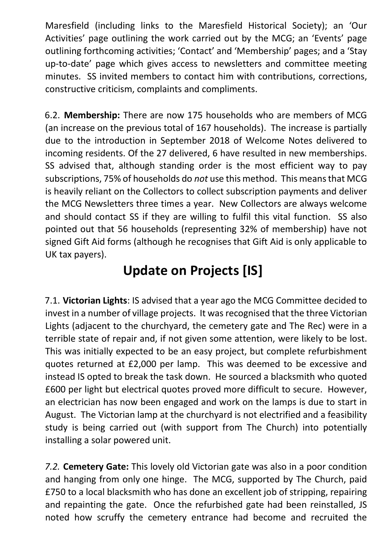Maresfield (including links to the Maresfield Historical Society); an 'Our Activities' page outlining the work carried out by the MCG; an 'Events' page outlining forthcoming activities; 'Contact' and 'Membership' pages; and a 'Stay up-to-date' page which gives access to newsletters and committee meeting minutes. SS invited members to contact him with contributions, corrections, constructive criticism, complaints and compliments.

6.2. **Membership:** There are now 175 households who are members of MCG (an increase on the previous total of 167 households). The increase is partially due to the introduction in September 2018 of Welcome Notes delivered to incoming residents. Of the 27 delivered, 6 have resulted in new memberships. SS advised that, although standing order is the most efficient way to pay subscriptions, 75% of households do *not* use this method. This means that MCG is heavily reliant on the Collectors to collect subscription payments and deliver the MCG Newsletters three times a year. New Collectors are always welcome and should contact SS if they are willing to fulfil this vital function. SS also pointed out that 56 households (representing 32% of membership) have not signed Gift Aid forms (although he recognises that Gift Aid is only applicable to UK tax payers).

# **Update on Projects [IS]**

7.1. **Victorian Lights**: IS advised that a year ago the MCG Committee decided to invest in a number of village projects. It was recognised that the three Victorian Lights (adjacent to the churchyard, the cemetery gate and The Rec) were in a terrible state of repair and, if not given some attention, were likely to be lost. This was initially expected to be an easy project, but complete refurbishment quotes returned at £2,000 per lamp. This was deemed to be excessive and instead IS opted to break the task down. He sourced a blacksmith who quoted £600 per light but electrical quotes proved more difficult to secure. However, an electrician has now been engaged and work on the lamps is due to start in August. The Victorian lamp at the churchyard is not electrified and a feasibility study is being carried out (with support from The Church) into potentially installing a solar powered unit.

*7.2.* **Cemetery Gate:** This lovely old Victorian gate was also in a poor condition and hanging from only one hinge. The MCG, supported by The Church, paid £750 to a local blacksmith who has done an excellent job of stripping, repairing and repainting the gate. Once the refurbished gate had been reinstalled, JS noted how scruffy the cemetery entrance had become and recruited the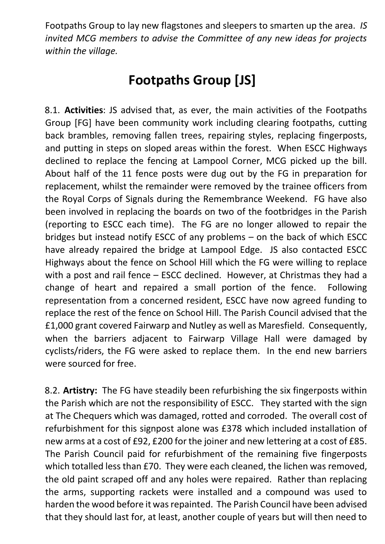Footpaths Group to lay new flagstones and sleepers to smarten up the area. *IS invited MCG members to advise the Committee of any new ideas for projects within the village.* 

## **Footpaths Group [JS]**

8.1. **Activities**: JS advised that, as ever, the main activities of the Footpaths Group [FG] have been community work including clearing footpaths, cutting back brambles, removing fallen trees, repairing styles, replacing fingerposts, and putting in steps on sloped areas within the forest. When ESCC Highways declined to replace the fencing at Lampool Corner, MCG picked up the bill. About half of the 11 fence posts were dug out by the FG in preparation for replacement, whilst the remainder were removed by the trainee officers from the Royal Corps of Signals during the Remembrance Weekend. FG have also been involved in replacing the boards on two of the footbridges in the Parish (reporting to ESCC each time). The FG are no longer allowed to repair the bridges but instead notify ESCC of any problems – on the back of which ESCC have already repaired the bridge at Lampool Edge. JS also contacted ESCC Highways about the fence on School Hill which the FG were willing to replace with a post and rail fence – ESCC declined. However, at Christmas they had a change of heart and repaired a small portion of the fence. Following representation from a concerned resident, ESCC have now agreed funding to replace the rest of the fence on School Hill. The Parish Council advised that the £1,000 grant covered Fairwarp and Nutley as well as Maresfield. Consequently, when the barriers adjacent to Fairwarp Village Hall were damaged by cyclists/riders, the FG were asked to replace them. In the end new barriers were sourced for free.

8.2. **Artistry:** The FG have steadily been refurbishing the six fingerposts within the Parish which are not the responsibility of ESCC. They started with the sign at The Chequers which was damaged, rotted and corroded. The overall cost of refurbishment for this signpost alone was £378 which included installation of new arms at a cost of £92, £200 for the joiner and new lettering at a cost of £85. The Parish Council paid for refurbishment of the remaining five fingerposts which totalled less than £70. They were each cleaned, the lichen was removed, the old paint scraped off and any holes were repaired. Rather than replacing the arms, supporting rackets were installed and a compound was used to harden the wood before it was repainted. The Parish Council have been advised that they should last for, at least, another couple of years but will then need to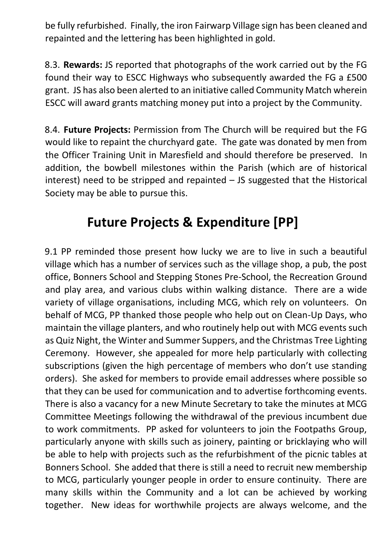be fully refurbished. Finally, the iron Fairwarp Village sign has been cleaned and repainted and the lettering has been highlighted in gold.

8.3. **Rewards:** JS reported that photographs of the work carried out by the FG found their way to ESCC Highways who subsequently awarded the FG a £500 grant. JS has also been alerted to an initiative called Community Match wherein ESCC will award grants matching money put into a project by the Community.

8.4. **Future Projects:** Permission from The Church will be required but the FG would like to repaint the churchyard gate. The gate was donated by men from the Officer Training Unit in Maresfield and should therefore be preserved. In addition, the bowbell milestones within the Parish (which are of historical interest) need to be stripped and repainted – JS suggested that the Historical Society may be able to pursue this.

# **Future Projects & Expenditure [PP]**

9.1 PP reminded those present how lucky we are to live in such a beautiful village which has a number of services such as the village shop, a pub, the post office, Bonners School and Stepping Stones Pre-School, the Recreation Ground and play area, and various clubs within walking distance. There are a wide variety of village organisations, including MCG, which rely on volunteers. On behalf of MCG, PP thanked those people who help out on Clean-Up Days, who maintain the village planters, and who routinely help out with MCG events such as Quiz Night, the Winter and Summer Suppers, and the Christmas Tree Lighting Ceremony. However, she appealed for more help particularly with collecting subscriptions (given the high percentage of members who don't use standing orders). She asked for members to provide email addresses where possible so that they can be used for communication and to advertise forthcoming events. There is also a vacancy for a new Minute Secretary to take the minutes at MCG Committee Meetings following the withdrawal of the previous incumbent due to work commitments. PP asked for volunteers to join the Footpaths Group, particularly anyone with skills such as joinery, painting or bricklaying who will be able to help with projects such as the refurbishment of the picnic tables at Bonners School. She added that there is still a need to recruit new membership to MCG, particularly younger people in order to ensure continuity. There are many skills within the Community and a lot can be achieved by working together. New ideas for worthwhile projects are always welcome, and the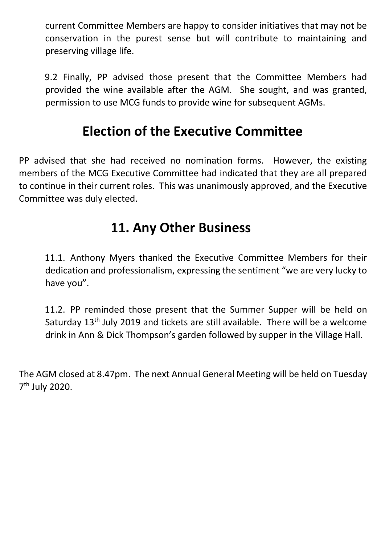current Committee Members are happy to consider initiatives that may not be conservation in the purest sense but will contribute to maintaining and preserving village life.

9.2 Finally, PP advised those present that the Committee Members had provided the wine available after the AGM. She sought, and was granted, permission to use MCG funds to provide wine for subsequent AGMs.

## **Election of the Executive Committee**

PP advised that she had received no nomination forms. However, the existing members of the MCG Executive Committee had indicated that they are all prepared to continue in their current roles. This was unanimously approved, and the Executive Committee was duly elected.

## **11. Any Other Business**

11.1. Anthony Myers thanked the Executive Committee Members for their dedication and professionalism, expressing the sentiment "we are very lucky to have you".

11.2. PP reminded those present that the Summer Supper will be held on Saturday 13<sup>th</sup> July 2019 and tickets are still available. There will be a welcome drink in Ann & Dick Thompson's garden followed by supper in the Village Hall.

The AGM closed at 8.47pm. The next Annual General Meeting will be held on Tuesday 7<sup>th</sup> July 2020.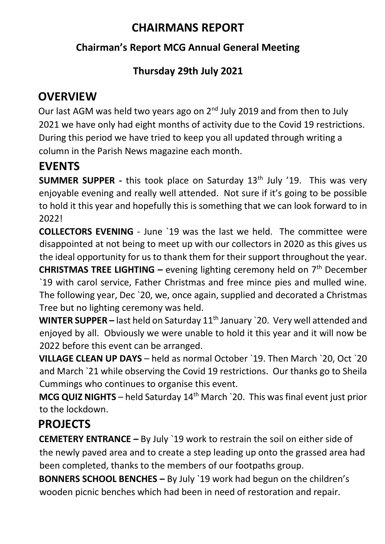## **CHAIRMANS REPORT**

#### **Chairman's Report MCG Annual General Meeting**

### **Thursday 29th July 2021**

## **OVERVIEW**

Our last AGM was held two years ago on 2<sup>nd</sup> July 2019 and from then to July 2021 we have only had eight months of activity due to the Covid 19 restrictions. During this period we have tried to keep you all updated through writing a column in the Parish News magazine each month.

## **EVENTS**

**SUMMER SUPPER -** this took place on Saturday 13<sup>th</sup> July '19. This was very enjoyable evening and really well attended. Not sure if it's going to be possible to hold it this year and hopefully this is something that we can look forward to in 2022!

**COLLECTORS EVENING** - June `19 was the last we held. The committee were disappointed at not being to meet up with our collectors in 2020 as this gives us the ideal opportunity for us to thank them for their support throughout the year. **CHRISTMAS TREE LIGHTING –** evening lighting ceremony held on 7th December `19 with carol service, Father Christmas and free mince pies and mulled wine. The following year, Dec `20, we, once again, supplied and decorated a Christmas

Tree but no lighting ceremony was held.

**WINTER SUPPER –** last held on Saturday 11th January `20. Very well attended and enjoyed by all. Obviously we were unable to hold it this year and it will now be 2022 before this event can be arranged.

**VILLAGE CLEAN UP DAYS** – held as normal October `19. Then March `20, Oct `20 and March `21 while observing the Covid 19 restrictions. Our thanks go to Sheila Cummings who continues to organise this event.

**MCG QUIZ NIGHTS** – held Saturday 14<sup>th</sup> March `20. This was final event just prior to the lockdown.

## **PROJECTS**

**CEMETERY ENTRANCE –** By July `19 work to restrain the soil on either side of the newly paved area and to create a step leading up onto the grassed area had been completed, thanks to the members of our footpaths group.

**BONNERS SCHOOL BENCHES –** By July `19 work had begun on the children's wooden picnic benches which had been in need of restoration and repair.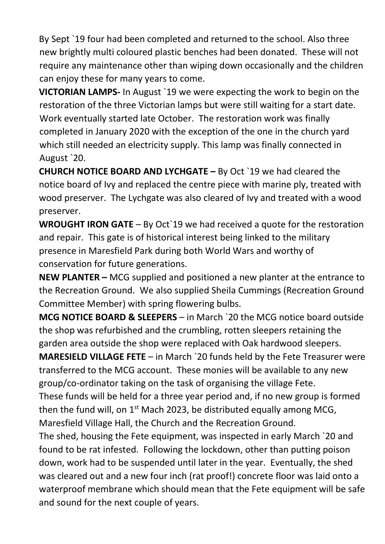By Sept `19 four had been completed and returned to the school. Also three new brightly multi coloured plastic benches had been donated. These will not require any maintenance other than wiping down occasionally and the children can enjoy these for many years to come.

**VICTORIAN LAMPS-** In August `19 we were expecting the work to begin on the restoration of the three Victorian lamps but were still waiting for a start date. Work eventually started late October. The restoration work was finally completed in January 2020 with the exception of the one in the church yard which still needed an electricity supply. This lamp was finally connected in August `20.

**CHURCH NOTICE BOARD AND LYCHGATE –** By Oct `19 we had cleared the notice board of Ivy and replaced the centre piece with marine ply, treated with wood preserver. The Lychgate was also cleared of Ivy and treated with a wood preserver.

**WROUGHT IRON GATE** – By Oct`19 we had received a quote for the restoration and repair. This gate is of historical interest being linked to the military presence in Maresfield Park during both World Wars and worthy of conservation for future generations.

**NEW PLANTER –** MCG supplied and positioned a new planter at the entrance to the Recreation Ground. We also supplied Sheila Cummings (Recreation Ground Committee Member) with spring flowering bulbs.

**MCG NOTICE BOARD & SLEEPERS** – in March `20 the MCG notice board outside the shop was refurbished and the crumbling, rotten sleepers retaining the garden area outside the shop were replaced with Oak hardwood sleepers.

**MARESIELD VILLAGE FETE** – in March `20 funds held by the Fete Treasurer were transferred to the MCG account. These monies will be available to any new group/co-ordinator taking on the task of organising the village Fete.

These funds will be held for a three year period and, if no new group is formed then the fund will, on  $1<sup>st</sup>$  Mach 2023, be distributed equally among MCG, Maresfield Village Hall, the Church and the Recreation Ground.

The shed, housing the Fete equipment, was inspected in early March `20 and found to be rat infested. Following the lockdown, other than putting poison down, work had to be suspended until later in the year. Eventually, the shed was cleared out and a new four inch (rat proof!) concrete floor was laid onto a waterproof membrane which should mean that the Fete equipment will be safe and sound for the next couple of years.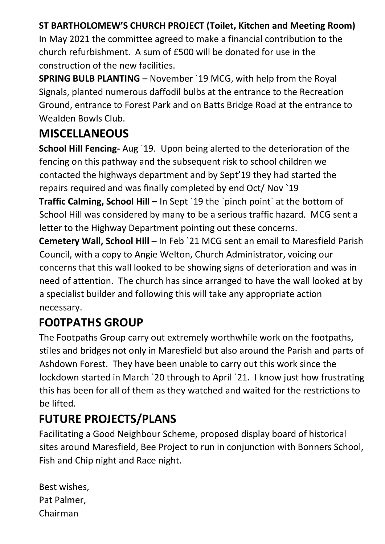#### **ST BARTHOLOMEW'S CHURCH PROJECT (Toilet, Kitchen and Meeting Room)**

In May 2021 the committee agreed to make a financial contribution to the church refurbishment. A sum of £500 will be donated for use in the construction of the new facilities.

**SPRING BULB PLANTING** – November `19 MCG, with help from the Royal Signals, planted numerous daffodil bulbs at the entrance to the Recreation Ground, entrance to Forest Park and on Batts Bridge Road at the entrance to Wealden Bowls Club.

## **MISCELLANEOUS**

**School Hill Fencing-** Aug `19. Upon being alerted to the deterioration of the fencing on this pathway and the subsequent risk to school children we contacted the highways department and by Sept'19 they had started the repairs required and was finally completed by end Oct/ Nov `19

**Traffic Calming, School Hill – In Sept `19 the `pinch point` at the bottom of** School Hill was considered by many to be a serious traffic hazard. MCG sent a letter to the Highway Department pointing out these concerns.

**Cemetery Wall, School Hill –** In Feb `21 MCG sent an email to Maresfield Parish Council, with a copy to Angie Welton, Church Administrator, voicing our concerns that this wall looked to be showing signs of deterioration and was in need of attention. The church has since arranged to have the wall looked at by a specialist builder and following this will take any appropriate action necessary.

## **FO0TPATHS GROUP**

The Footpaths Group carry out extremely worthwhile work on the footpaths, stiles and bridges not only in Maresfield but also around the Parish and parts of Ashdown Forest. They have been unable to carry out this work since the lockdown started in March `20 through to April `21. I know just how frustrating this has been for all of them as they watched and waited for the restrictions to be lifted.

## **FUTURE PROJECTS/PLANS**

Facilitating a Good Neighbour Scheme, proposed display board of historical sites around Maresfield, Bee Project to run in conjunction with Bonners School, Fish and Chip night and Race night.

| Best wishes, |
|--------------|
| Pat Palmer,  |
| Chairman     |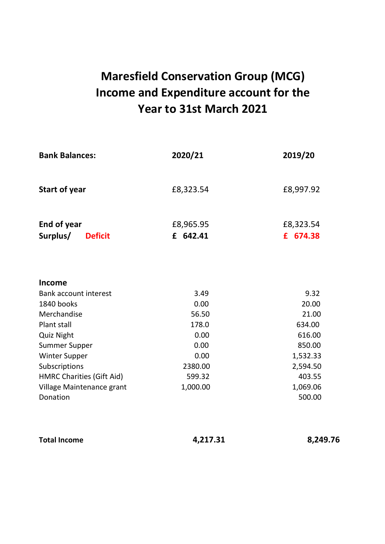## **Maresfield Conservation Group (MCG) Income and Expenditure account for the Year to 31st March 2021**

| <b>Bank Balances:</b>            | 2020/21       | 2019/20        |  |
|----------------------------------|---------------|----------------|--|
| <b>Start of year</b>             | £8,323.54     | £8,997.92      |  |
| End of year                      | £8,965.95     | £8,323.54      |  |
| Surplus/<br><b>Deficit</b>       | £ 642.41      | £ 674.38       |  |
| Income                           |               |                |  |
| Bank account interest            | 3.49          | 9.32           |  |
| 1840 books<br>Merchandise        | 0.00<br>56.50 | 20.00<br>21.00 |  |
| Plant stall                      | 178.0         | 634.00         |  |
| Quiz Night                       | 0.00          | 616.00         |  |
| Summer Supper                    | 0.00          | 850.00         |  |
| Winter Supper                    | 0.00          | 1,532.33       |  |
| Subscriptions                    | 2380.00       | 2,594.50       |  |
| <b>HMRC Charities (Gift Aid)</b> | 599.32        | 403.55         |  |
| Village Maintenance grant        | 1,000.00      | 1,069.06       |  |
| Donation                         |               | 500.00         |  |

| Total Income | 4,217.31 | 8,249.76 |
|--------------|----------|----------|
|              |          |          |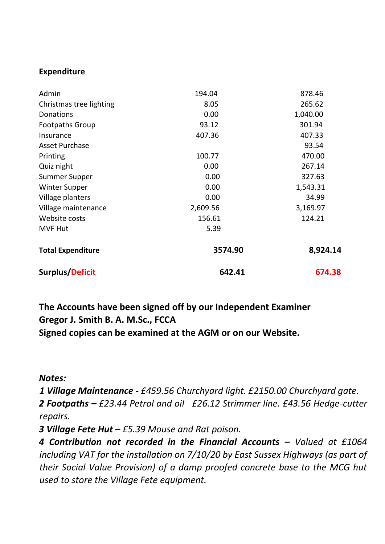#### **Expenditure**

| Admin                    | 194.04   | 878.46   |
|--------------------------|----------|----------|
| Christmas tree lighting  | 8.05     | 265.62   |
| Donations                | 0.00     | 1,040.00 |
| <b>Footpaths Group</b>   | 93.12    | 301.94   |
| Insurance                | 407.36   | 407.33   |
| Asset Purchase           |          | 93.54    |
| Printing                 | 100.77   | 470.00   |
| Quiz night               | 0.00     | 267.14   |
| Summer Supper            | 0.00     | 327.63   |
| <b>Winter Supper</b>     | 0.00     | 1,543.31 |
| Village planters         | 0.00     | 34.99    |
| Village maintenance      | 2,609.56 | 3,169.97 |
| Website costs            | 156.61   | 124.21   |
| <b>MVF Hut</b>           | 5.39     |          |
| <b>Total Expenditure</b> | 3574.90  | 8,924.14 |
| Surplus/Deficit          | 642.41   | 674.38   |

**The Accounts have been signed off by our Independent Examiner Gregor J. Smith B. A. M.Sc., FCCA Signed copies can be examined at the AGM or on our Website.**

*Notes:* 

*1 Village Maintenance - £459.56 Churchyard light. £2150.00 Churchyard gate.* 

*2 Footpaths – £23.44 Petrol and oil £26.12 Strimmer line. £43.56 Hedge-cutter repairs.*

*3 Village Fete Hut – £5.39 Mouse and Rat poison.*

*4 Contribution not recorded in the Financial Accounts – Valued at £1064 including VAT for the installation on 7/10/20 by East Sussex Highways (as part of their Social Value Provision) of a damp proofed concrete base to the MCG hut used to store the Village Fete equipment.*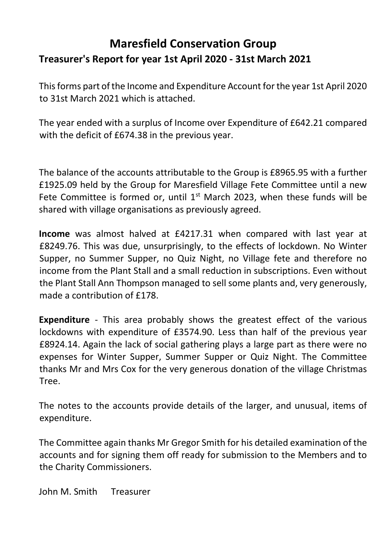### **Maresfield Conservation Group Treasurer's Report for year 1st April 2020 - 31st March 2021**

This forms part of the Income and Expenditure Account for the year 1st April 2020 to 31st March 2021 which is attached.

The year ended with a surplus of Income over Expenditure of £642.21 compared with the deficit of £674.38 in the previous year.

The balance of the accounts attributable to the Group is £8965.95 with a further £1925.09 held by the Group for Maresfield Village Fete Committee until a new Fete Committee is formed or, until  $1<sup>st</sup>$  March 2023, when these funds will be shared with village organisations as previously agreed.

**Income** was almost halved at £4217.31 when compared with last year at £8249.76. This was due, unsurprisingly, to the effects of lockdown. No Winter Supper, no Summer Supper, no Quiz Night, no Village fete and therefore no income from the Plant Stall and a small reduction in subscriptions. Even without the Plant Stall Ann Thompson managed to sell some plants and, very generously, made a contribution of £178.

**Expenditure** - This area probably shows the greatest effect of the various lockdowns with expenditure of £3574.90. Less than half of the previous year £8924.14. Again the lack of social gathering plays a large part as there were no expenses for Winter Supper, Summer Supper or Quiz Night. The Committee thanks Mr and Mrs Cox for the very generous donation of the village Christmas Tree.

The notes to the accounts provide details of the larger, and unusual, items of expenditure.

The Committee again thanks Mr Gregor Smith for his detailed examination of the accounts and for signing them off ready for submission to the Members and to the Charity Commissioners.

John M. Smith Treasurer